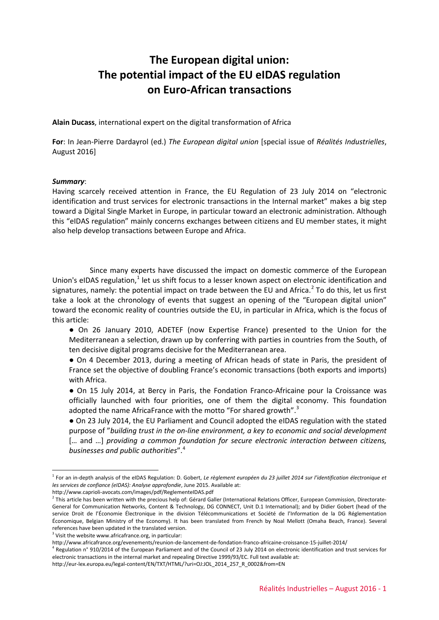# **The European digital union: The potential impact of the EU eIDAS regulation on Euro-African transactions**

**Alain Ducass**, international expert on the digital transformation of Africa

**For**: In Jean-Pierre Dardayrol (ed.) *The European digital union* [special issue of *Réalités Industrielles*, August 2016]

#### *Summary*:

<u>.</u>

Having scarcely received attention in France, the EU Regulation of 23 July 2014 on "electronic identification and trust services for electronic transactions in the Internal market" makes a big step toward a Digital Single Market in Europe, in particular toward an electronic administration. Although this "eIDAS regulation" mainly concerns exchanges between citizens and EU member states, it might also help develop transactions between Europe and Africa.

Since many experts have discussed the impact on domestic commerce of the European Union's eIDAS regulation, $<sup>1</sup>$  $<sup>1</sup>$  $<sup>1</sup>$  let us shift focus to a lesser known aspect on electronic identification and</sup> signatures, namely: the potential impact on trade between the EU and Africa.<sup>[2](#page-0-1)</sup> To do this, let us first take a look at the chronology of events that suggest an opening of the "European digital union" toward the economic reality of countries outside the EU, in particular in Africa, which is the focus of this article:

● On 26 January 2010, ADETEF (now Expertise France) presented to the Union for the Mediterranean a selection, drawn up by conferring with parties in countries from the South, of ten decisive digital programs decisive for the Mediterranean area.

● On 4 December 2013, during a meeting of African heads of state in Paris, the president of France set the objective of doubling France's economic transactions (both exports and imports) with Africa.

● On 15 July 2014, at Bercy in Paris, the Fondation Franco-Africaine pour la Croissance was officially launched with four priorities, one of them the digital economy. This foundation adopted the name AfricaFrance with the motto "For shared growth".<sup>[3](#page-0-2)</sup>

● On 23 July 2014, the EU Parliament and Council adopted the eIDAS regulation with the stated purpose of "*building trust in the on-line environment, a key to economic and social development* [... and ...] *providing a common foundation for secure electronic interaction between citizens, businesses and public authorities*".[4](#page-0-3)

<span id="page-0-0"></span><sup>1</sup> For an in-depth analysis of the eIDAS Regulation: D. Gobert, *Le règlement européen du 23 juillet 2014 sur l'identification électronique et les services de confiance (eIDAS): Analyse approfondie*, June 2015. Available at:

http://www.caprioli-avocats.com/images/pdf/ReglementeIDAS.pdf

<span id="page-0-1"></span> $<sup>2</sup>$  This article has been written with the precious help of: Gérard Galler (International Relations Officer, European Commission, Directorate-</sup> General for Communication Networks, Content & Technology, DG CONNECT, Unit D.1 International); and by Didier Gobert (head of the service Droit de l'Économie Électronique in the division Télécommunications et Société de l'Information de la DG Réglementation Économique, Belgian Ministry of the Economy). It has been translated from French by Noal Mellott (Omaha Beach, France). Several references have been updated in the translated version.

<span id="page-0-2"></span> $3$  Visit the website www.africafrance.org, in particular:

http://www.africafrance.org/evenements/reunion-de-lancement-de-fondation-franco-africaine-croissance-15-juillet-2014/

<span id="page-0-3"></span> $^4$  Regulation n° 910/2014 of the European Parliament and of the Council of 23 July 2014 on electronic identification and trust services for electronic transactions in the internal market and repealing Directive 1999/93/EC. Full text available at:

http://eur-lex.europa.eu/legal-content/EN/TXT/HTML/?uri=OJ:JOL\_2014\_257\_R\_0002&from=EN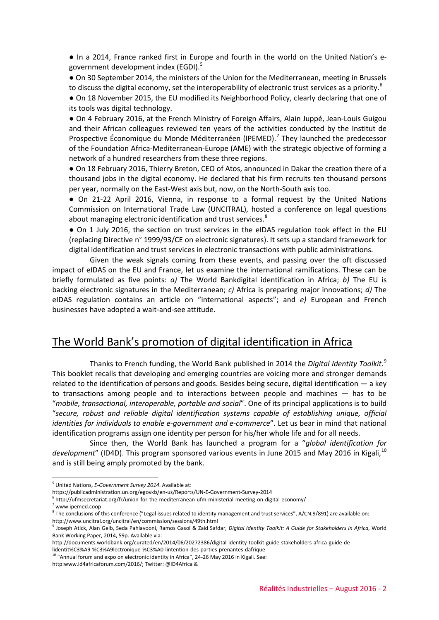● In a 2014, France ranked first in Europe and fourth in the world on the United Nation's e-government development index (EGDI).<sup>[5](#page-1-0)</sup>

● On 30 September 2014, the ministers of the Union for the Mediterranean, meeting in Brussels to discuss the digital economy, set the interoperability of electronic trust services as a priority.<sup>[6](#page-1-1)</sup>

● On 18 November 2015, the EU modified its Neighborhood Policy, clearly declaring that one of its tools was digital technology.

● On 4 February 2016, at the French Ministry of Foreign Affairs, Alain Juppé, Jean-Louis Guigou and their African colleagues reviewed ten years of the activities conducted by the Institut de Prospective Économique du Monde Méditerranéen (IPEMED).<sup>[7](#page-1-2)</sup> They launched the predecessor of the Foundation Africa-Mediterranean-Europe (AME) with the strategic objective of forming a network of a hundred researchers from these three regions.

● On 18 February 2016, Thierry Breton, CEO of Atos, announced in Dakar the creation there of a thousand jobs in the digital economy. He declared that his firm recruits ten thousand persons per year, normally on the East-West axis but, now, on the North-South axis too.

● On 21-22 April 2016, Vienna, in response to a formal request by the United Nations Commission on International Trade Law (UNCITRAL), hosted a conference on legal questions about managing electronic identification and trust services.<sup>[8](#page-1-3)</sup>

● On 1 July 2016, the section on trust services in the eIDAS regulation took effect in the EU (replacing Directive n° 1999/93/CE on electronic signatures). It sets up a standard framework for digital identification and trust services in electronic transactions with public administrations.

Given the weak signals coming from these events, and passing over the oft discussed impact of eIDAS on the EU and France, let us examine the international ramifications. These can be briefly formulated as five points: *a)* The World Bankdigital identification in Africa; *b)* The EU is backing electronic signatures in the Mediterranean; *c)* Africa is preparing major innovations; *d)* The eIDAS regulation contains an article on "international aspects"; and *e)* European and French businesses have adopted a wait-and-see attitude.

### The World Bank's promotion of digital identification in Africa

Thanks to French funding, the World Bank published in 2014 the *Digital Identity Toolkit*. [9](#page-1-4) This booklet recalls that developing and emerging countries are voicing more and stronger demands related to the identification of persons and goods. Besides being secure, digital identification — a key to transactions among people and to interactions between people and machines — has to be "*mobile, transactional, interoperable, portable and social*". One of its principal applications is to build "*secure, robust and reliable digital identification systems capable of establishing unique, official identities for individuals to enable e-government and e-commerce*". Let us bear in mind that national identification programs assign one identity per person for his/her whole life and for all needs.

Since then, the World Bank has launched a program for a "*global identification for*  development" (ID4D). This program sponsored various events in June 2015 and May 2016 in Kigali,<sup>[10](#page-1-5)</sup> and is still being amply promoted by the bank.

<u>.</u>

<span id="page-1-0"></span><sup>5</sup> United Nations, *E-Government Survey 2014*. Available at:

https://publicadministration.un.org/egovkb/en-us/Reports/UN-E-Government-Survey-2014

<span id="page-1-1"></span> $^6$  http://ufmsecretariat.org/fr/union-for-the-mediterranean-ufm-ministerial-meeting-on-digital-economy/

<sup>7</sup> www.ipemed.coop

<span id="page-1-3"></span><span id="page-1-2"></span><sup>&</sup>lt;sup>8</sup> The conclusions of this conference ("Legal issues related to identity management and trust services", A/CN.9/891) are available on:

http://www.uncitral.org/uncitral/en/commission/sessions/49th.html

<span id="page-1-4"></span><sup>9</sup> Joseph Atick, Alan Gelb, Seda Pahlavooni, Ramos Gasol & Zaid Safdar, *Digital Identity Toolkit: A Guide for Stakeholders in Africa*, World Bank Working Paper, 2014, 59p. Available via:

http://documents.worldbank.org/curated/en/2014/06/20272386/digital-identity-toolkit-guide-stakeholders-africa-guide-de-

lidentit%C3%A9-%C3%A9lectronique-%C3%A0-lintention-des-parties-prenantes-dafrique

<sup>&</sup>lt;sup>10</sup> "Annual forum and expo on electronic identity in Africa", 24-26 May 2016 in Kigali. See:

<span id="page-1-5"></span>http:www.id4africaforum.com/2016/; Twitter: @ID4Africa &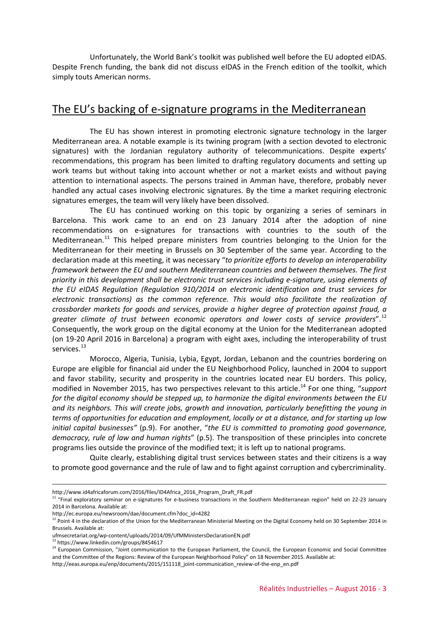Unfortunately, the World Bank's toolkit was published well before the EU adopted eIDAS. Despite French funding, the bank did not discuss eIDAS in the French edition of the toolkit, which simply touts American norms.

#### The EU's backing of e-signature programs in the Mediterranean

The EU has shown interest in promoting electronic signature technology in the larger Mediterranean area. A notable example is its twining program (with a section devoted to electronic signatures) with the Jordanian regulatory authority of telecommunications. Despite experts' recommendations, this program has been limited to drafting regulatory documents and setting up work teams but without taking into account whether or not a market exists and without paying attention to international aspects. The persons trained in Amman have, therefore, probably never handled any actual cases involving electronic signatures. By the time a market requiring electronic signatures emerges, the team will very likely have been dissolved.

The EU has continued working on this topic by organizing a series of seminars in Barcelona. This work came to an end on 23 January 2014 after the adoption of nine recommendations on e-signatures for transactions with countries to the south of the Mediterranean.<sup>[11](#page-2-0)</sup> This helped prepare ministers from countries belonging to the Union for the Mediterranean for their meeting in Brussels on 30 September of the same year. According to the declaration made at this meeting, it was necessary "*to prioritize efforts to develop an interoperability framework between the EU and southern Mediterranean countries and between themselves. The first priority in this development shall be electronic trust services including e-signature, using elements of the EU eIDAS Regulation (Regulation 910/2014 on electronic identification and trust services for electronic transactions) as the common reference. This would also facilitate the realization of crossborder markets for goods and services, provide a higher degree of protection against fraud, a greater climate of trust between economic operators and lower costs of service providers*".[12](#page-2-1) Consequently, the work group on the digital economy at the Union for the Mediterranean adopted (on 19-20 April 2016 in Barcelona) a program with eight axes, including the interoperability of trust services.<sup>[13](#page-2-2)</sup>

Morocco, Algeria, Tunisia, Lybia, Egypt, Jordan, Lebanon and the countries bordering on Europe are eligible for financial aid under the EU Neighborhood Policy, launched in 2004 to support and favor stability, security and prosperity in the countries located near EU borders. This policy, modified in November 2015, has two perspectives relevant to this article.<sup>[14](#page-2-3)</sup> For one thing, "*support for the digital economy should be stepped up, to harmonize the digital environments between the EU and its neighbors. This will create jobs, growth and innovation, particularly benefitting the young in terms of opportunities for education and employment, locally or at a distance, and for starting up low initial capital businesses"* (p.9). For another, "*the EU is committed to promoting good governance, democracy, rule of law and human rights*" (p.5). The transposition of these principles into concrete programs lies outside the province of the modified text; it is left up to national programs.

Quite clearly, establishing digital trust services between states and their citizens is a way to promote good governance and the rule of law and to fight against corruption and cybercriminality.

<sup>&</sup>lt;u>.</u> http://www.id4africaforum.com/2016/files/ID4Africa\_2016\_Program\_Draft\_FR.pdf

<span id="page-2-0"></span><sup>&</sup>lt;sup>11</sup> "Final exploratory seminar on e-signatures for e-business transactions in the Southern Mediterranean region" held on 22-23 January 2014 in Barcelona. Available at:

http://ec.europa.eu/newsroom/dae/document.cfm?doc\_id=4282

<span id="page-2-1"></span> $12$  Point 4 in the declaration of the Union for the Mediterranean Ministerial Meeting on the Digital Economy held on 30 September 2014 in Brussels. Available at:

ufmsecretariat.org/wp-content/uploads/2014/09/UfMMinistersDeclarationEN.pdf

<sup>13</sup> https://www.linkedin.com/groups/8454617

<span id="page-2-3"></span><span id="page-2-2"></span><sup>&</sup>lt;sup>14</sup> European Commission, "Joint communication to the European Parliament, the Council, the European Economic and Social Committee and the Committee of the Regions: Review of the European Neighborhood Policy" on 18 November 2015. Available at: http://eeas.europa.eu/enp/documents/2015/151118\_joint-communication\_review-of-the-enp\_en.pdf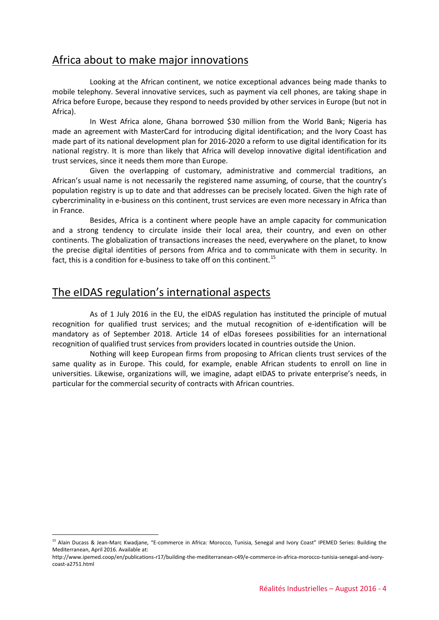# Africa about to make major innovations

Looking at the African continent, we notice exceptional advances being made thanks to mobile telephony. Several innovative services, such as payment via cell phones, are taking shape in Africa before Europe, because they respond to needs provided by other services in Europe (but not in Africa).

In West Africa alone, Ghana borrowed \$30 million from the World Bank; Nigeria has made an agreement with MasterCard for introducing digital identification; and the Ivory Coast has made part of its national development plan for 2016-2020 a reform to use digital identification for its national registry. It is more than likely that Africa will develop innovative digital identification and trust services, since it needs them more than Europe.

Given the overlapping of customary, administrative and commercial traditions, an African's usual name is not necessarily the registered name assuming, of course, that the country's population registry is up to date and that addresses can be precisely located. Given the high rate of cybercriminality in e-business on this continent, trust services are even more necessary in Africa than in France.

Besides, Africa is a continent where people have an ample capacity for communication and a strong tendency to circulate inside their local area, their country, and even on other continents. The globalization of transactions increases the need, everywhere on the planet, to know the precise digital identities of persons from Africa and to communicate with them in security. In fact, this is a condition for e-business to take off on this continent.<sup>[15](#page-3-0)</sup>

# The eIDAS regulation's international aspects

<u>.</u>

As of 1 July 2016 in the EU, the eIDAS regulation has instituted the principle of mutual recognition for qualified trust services; and the mutual recognition of e-identification will be mandatory as of September 2018. Article 14 of elDas foresees possibilities for an international recognition of qualified trust services from providers located in countries outside the Union.

Nothing will keep European firms from proposing to African clients trust services of the same quality as in Europe. This could, for example, enable African students to enroll on line in universities. Likewise, organizations will, we imagine, adapt eIDAS to private enterprise's needs, in particular for the commercial security of contracts with African countries.

<span id="page-3-0"></span><sup>&</sup>lt;sup>15</sup> Alain Ducass & Jean-Marc Kwadjane, "E-commerce in Africa: Morocco, Tunisia, Senegal and Ivory Coast" IPEMED Series: Building the Mediterranean, April 2016. Available at:

http://www.ipemed.coop/en/publications-r17/building-the-mediterranean-c49/e-commerce-in-africa-morocco-tunisia-senegal-and-ivorycoast-a2751.html